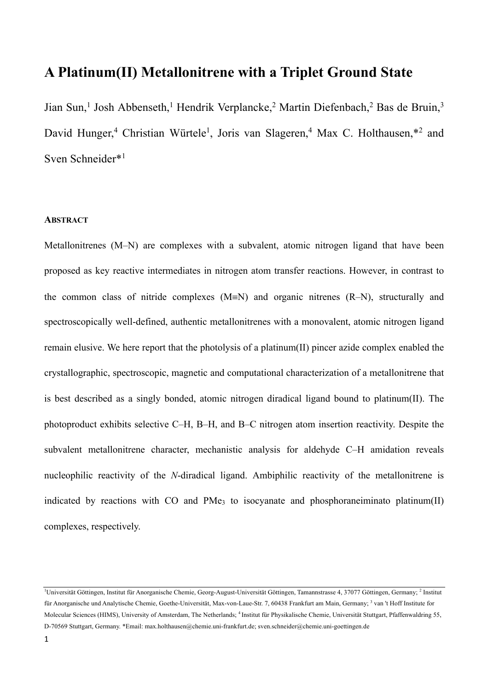# **A Platinum(II) Metallonitrene with a Triplet Ground State**

Jian Sun,<sup>1</sup> Josh Abbenseth,<sup>1</sup> Hendrik Verplancke,<sup>2</sup> Martin Diefenbach,<sup>2</sup> Bas de Bruin,<sup>3</sup> David Hunger,<sup>4</sup> Christian Würtele<sup>1</sup>, Joris van Slageren,<sup>4</sup> Max C. Holthausen,\*<sup>2</sup> and Sven Schneider\*1

# **ABSTRACT**

Metallonitrenes (M–N) are complexes with a subvalent, atomic nitrogen ligand that have been proposed as key reactive intermediates in nitrogen atom transfer reactions. However, in contrast to the common class of nitride complexes  $(M=N)$  and organic nitrenes  $(R-N)$ , structurally and spectroscopically well-defined, authentic metallonitrenes with a monovalent, atomic nitrogen ligand remain elusive. We here report that the photolysis of a platinum(II) pincer azide complex enabled the crystallographic, spectroscopic, magnetic and computational characterization of a metallonitrene that is best described as a singly bonded, atomic nitrogen diradical ligand bound to platinum(II). The photoproduct exhibits selective C–H, B–H, and B–C nitrogen atom insertion reactivity. Despite the subvalent metallonitrene character, mechanistic analysis for aldehyde C–H amidation reveals nucleophilic reactivity of the *N*-diradical ligand. Ambiphilic reactivity of the metallonitrene is indicated by reactions with CO and PMe<sub>3</sub> to isocyanate and phosphoraneiminato platinum(II) complexes, respectively.

<sup>&</sup>lt;sup>1</sup>Universität Göttingen, Institut für Anorganische Chemie, Georg-August-Universität Göttingen, Tamannstrasse 4, 37077 Göttingen, Germany; <sup>2</sup> Institut für Anorganische und Analytische Chemie, Goethe-Universität, Max-von-Laue-Str. 7, 60438 Frankfurt am Main, Germany; <sup>3</sup> van 't Hoff Institute for Molecular Sciences (HIMS), University of Amsterdam, The Netherlands; 4 Institut für Physikalische Chemie, Universität Stuttgart, Pfaffenwaldring 55, D-70569 Stuttgart, Germany. \*Email: max.holthausen@chemie.uni-frankfurt.de; sven.schneider@chemie.uni-goettingen.de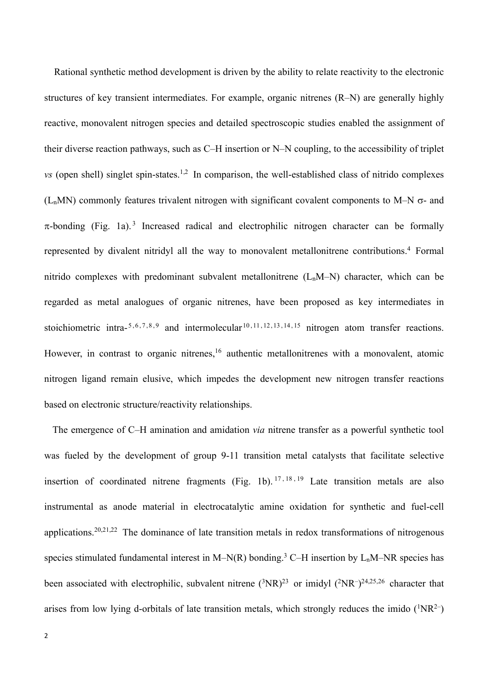Rational synthetic method development is driven by the ability to relate reactivity to the electronic structures of key transient intermediates. For example, organic nitrenes (R–N) are generally highly reactive, monovalent nitrogen species and detailed spectroscopic studies enabled the assignment of their diverse reaction pathways, such as C–H insertion or N–N coupling, to the accessibility of triplet *vs* (open shell) singlet spin-states.<sup>1,2</sup> In comparison, the well-established class of nitrido complexes ( $L_nMN$ ) commonly features trivalent nitrogen with significant covalent components to M–N  $\sigma$ - and  $\pi$ -bonding (Fig. 1a).<sup>3</sup> Increased radical and electrophilic nitrogen character can be formally represented by divalent nitridyl all the way to monovalent metallonitrene contributions.4 Formal nitrido complexes with predominant subvalent metallonitrene  $(L_nM-N)$  character, which can be regarded as metal analogues of organic nitrenes, have been proposed as key intermediates in stoichiometric intra- $5, 6, 7, 8, 9$  and intermolecular  $10, 11, 12, 13, 14, 15$  nitrogen atom transfer reactions. However, in contrast to organic nitrenes,<sup>16</sup> authentic metallonitrenes with a monovalent, atomic nitrogen ligand remain elusive, which impedes the development new nitrogen transfer reactions based on electronic structure/reactivity relationships.

 The emergence of C–H amination and amidation *via* nitrene transfer as a powerful synthetic tool was fueled by the development of group 9-11 transition metal catalysts that facilitate selective insertion of coordinated nitrene fragments (Fig. 1b).  $17, 18, 19$  Late transition metals are also instrumental as anode material in electrocatalytic amine oxidation for synthetic and fuel-cell applications.20,21,22 The dominance of late transition metals in redox transformations of nitrogenous species stimulated fundamental interest in M–N(R) bonding.<sup>3</sup> C–H insertion by  $L_nM$ –NR species has been associated with electrophilic, subvalent nitrene  $({}^{3}NR)^{23}$  or imidyl  $({}^{2}NR^{-})^{24,25,26}$  character that arises from low lying d-orbitals of late transition metals, which strongly reduces the imido  $(^1NR^2-)$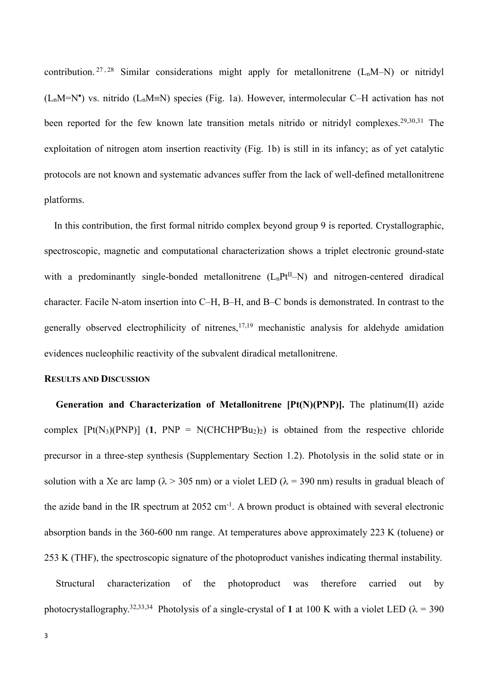contribution. <sup>27, 28</sup> Similar considerations might apply for metallonitrene  $(L_nM-N)$  or nitridyl  $(L_nM=N^*)$  vs. nitrido  $(L_nM\equiv N)$  species (Fig. 1a). However, intermolecular C-H activation has not been reported for the few known late transition metals nitrido or nitridyl complexes.<sup>29,30,31</sup> The exploitation of nitrogen atom insertion reactivity (Fig. 1b) is still in its infancy; as of yet catalytic protocols are not known and systematic advances suffer from the lack of well-defined metallonitrene platforms.

In this contribution, the first formal nitrido complex beyond group 9 is reported. Crystallographic, spectroscopic, magnetic and computational characterization shows a triplet electronic ground-state with a predominantly single-bonded metallonitrene  $(L<sub>n</sub>Pt<sup>II</sup>-N)$  and nitrogen-centered diradical character. Facile N-atom insertion into C–H, B–H, and B–C bonds is demonstrated. In contrast to the generally observed electrophilicity of nitrenes,  $17,19$  mechanistic analysis for aldehyde amidation evidences nucleophilic reactivity of the subvalent diradical metallonitrene.

## **RESULTS AND DISCUSSION**

**Generation and Characterization of Metallonitrene [Pt(N)(PNP)].** The platinum(II) azide complex  $[Pt(N<sub>3</sub>)(PNP)]$  (1,  $PNP = N(CHCHP'Bu<sub>2</sub>)<sub>2</sub>$ ) is obtained from the respective chloride precursor in a three-step synthesis (Supplementary Section 1.2). Photolysis in the solid state or in solution with a Xe arc lamp ( $\lambda$  > 305 nm) or a violet LED ( $\lambda$  = 390 nm) results in gradual bleach of the azide band in the IR spectrum at  $2052 \text{ cm}^{-1}$ . A brown product is obtained with several electronic absorption bands in the 360-600 nm range. At temperatures above approximately 223 K (toluene) or 253 K (THF), the spectroscopic signature of the photoproduct vanishes indicating thermal instability.

Structural characterization of the photoproduct was therefore carried out by photocrystallography.<sup>32,33,34</sup> Photolysis of a single-crystal of 1 at 100 K with a violet LED ( $\lambda$  = 390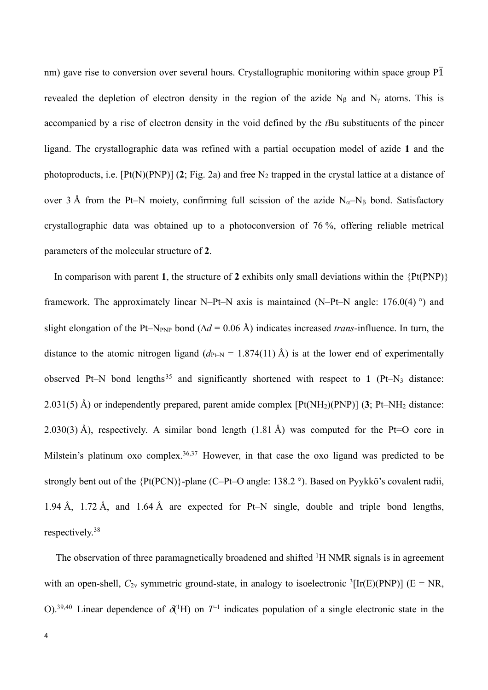nm) gave rise to conversion over several hours. Crystallographic monitoring within space group  $\overline{P1}$ revealed the depletion of electron density in the region of the azide N<sub>B</sub> and N<sub>y</sub> atoms. This is accompanied by a rise of electron density in the void defined by the *t*Bu substituents of the pincer ligand. The crystallographic data was refined with a partial occupation model of azide **1** and the photoproducts, i.e.  $[Pt(N)(PNP)]$  (2; Fig. 2a) and free  $N_2$  trapped in the crystal lattice at a distance of over 3 Å from the Pt–N moiety, confirming full scission of the azide  $N_{\alpha}$ –N<sub>B</sub> bond. Satisfactory crystallographic data was obtained up to a photoconversion of 76 %, offering reliable metrical parameters of the molecular structure of **2**.

In comparison with parent **1**, the structure of **2** exhibits only small deviations within the {Pt(PNP)} framework. The approximately linear N–Pt–N axis is maintained (N–Pt–N angle:  $176.0(4)$ <sup>o</sup>) and slight elongation of the Pt–N<sub>PNP</sub> bond ( $\Delta d = 0.06$  Å) indicates increased *trans*-influence. In turn, the distance to the atomic nitrogen ligand  $(d_{PL-N} = 1.874(11)$  Å) is at the lower end of experimentally observed Pt–N bond lengths<sup>35</sup> and significantly shortened with respect to 1 (Pt–N<sub>3</sub> distance: 2.031(5) Å) or independently prepared, parent amide complex [Pt(NH2)(PNP)] (**3**; Pt–NH2 distance: 2.030(3) Å), respectively. A similar bond length (1.81 Å) was computed for the Pt=O core in Milstein's platinum oxo complex.<sup>36,37</sup> However, in that case the oxo ligand was predicted to be strongly bent out of the {Pt(PCN)}-plane (C–Pt–O angle: 138.2 °). Based on Pyykkö's covalent radii, 1.94 Å, 1.72 Å, and 1.64 Å are expected for Pt–N single, double and triple bond lengths, respectively.38

The observation of three paramagnetically broadened and shifted <sup>1</sup>H NMR signals is in agreement with an open-shell,  $C_{2v}$  symmetric ground-state, in analogy to isoelectronic <sup>3</sup>[Ir(E)(PNP)] (E = NR, O).<sup>39,40</sup> Linear dependence of  $\delta^{(1)}$ H) on  $T^{-1}$  indicates population of a single electronic state in the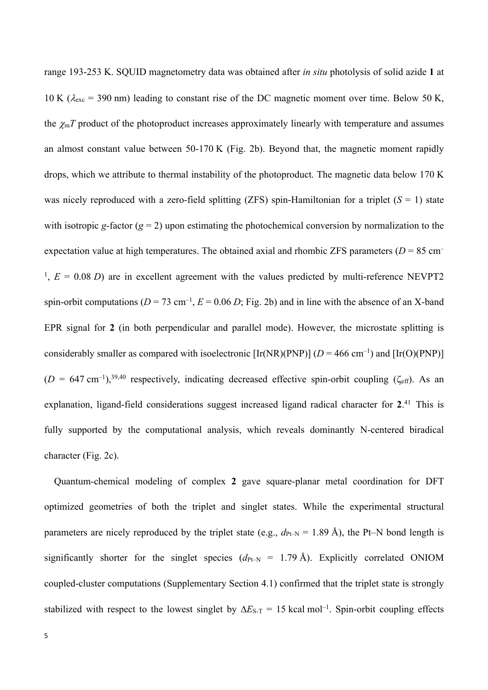range 193-253 K. SQUID magnetometry data was obtained after *in situ* photolysis of solid azide **1** at 10 K ( $\lambda_{\text{exc}}$  = 390 nm) leading to constant rise of the DC magnetic moment over time. Below 50 K, the  $\chi_{\rm m}T$  product of the photoproduct increases approximately linearly with temperature and assumes an almost constant value between 50-170 K (Fig. 2b). Beyond that, the magnetic moment rapidly drops, which we attribute to thermal instability of the photoproduct. The magnetic data below 170 K was nicely reproduced with a zero-field splitting (ZFS) spin-Hamiltonian for a triplet  $(S = 1)$  state with isotropic *g*-factor ( $g = 2$ ) upon estimating the photochemical conversion by normalization to the expectation value at high temperatures. The obtained axial and rhombic ZFS parameters (*D* = 85 cm–  $1, E = 0.08 D$ ) are in excellent agreement with the values predicted by multi-reference NEVPT2 spin-orbit computations  $(D = 73 \text{ cm}^{-1}, E = 0.06 D; \text{Fig. 2b})$  and in line with the absence of an X-band EPR signal for **2** (in both perpendicular and parallel mode). However, the microstate splitting is considerably smaller as compared with isoelectronic  $[Ir(NR)(PNP)] (D = 466 \text{ cm}^{-1})$  and  $[Ir(O)(PNP)]$  $(D = 647 \text{ cm}^{-1})$ ,<sup>39,40</sup> respectively, indicating decreased effective spin-orbit coupling ( $\zeta_{\text{eff}}$ ). As an explanation, ligand-field considerations suggest increased ligand radical character for **2**. <sup>41</sup> This is fully supported by the computational analysis, which reveals dominantly N-centered biradical character (Fig. 2c).

Quantum-chemical modeling of complex **2** gave square-planar metal coordination for DFT optimized geometries of both the triplet and singlet states. While the experimental structural parameters are nicely reproduced by the triplet state (e.g.,  $d_{\text{Pt-N}} = 1.89 \text{ Å}$ ), the Pt–N bond length is significantly shorter for the singlet species  $(d_{Pt-N} = 1.79 \text{ Å})$ . Explicitly correlated ONIOM coupled-cluster computations (Supplementary Section 4.1) confirmed that the triplet state is strongly stabilized with respect to the lowest singlet by  $\Delta E_{S-T} = 15$  kcal mol<sup>-1</sup>. Spin-orbit coupling effects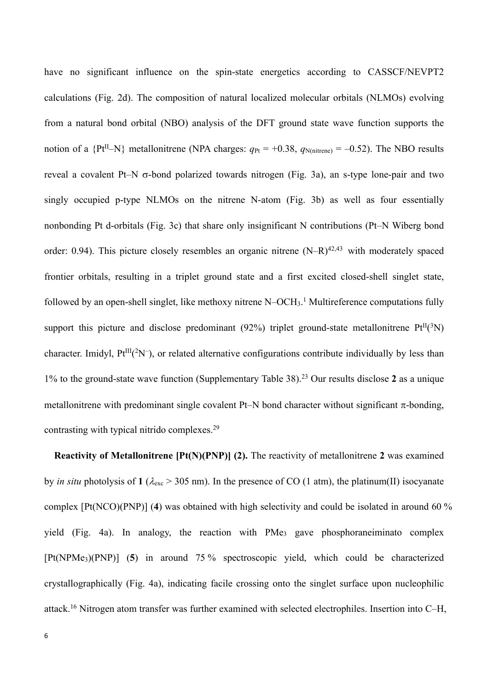have no significant influence on the spin-state energetics according to CASSCF/NEVPT2 calculations (Fig. 2d). The composition of natural localized molecular orbitals (NLMOs) evolving from a natural bond orbital (NBO) analysis of the DFT ground state wave function supports the notion of a  ${Pt^{II}-N}$  metallonitrene (NPA charges:  $q_{Pt} = +0.38$ ,  $q_{N(nitrene)} = -0.52$ ). The NBO results reveal a covalent Pt–N  $\sigma$ -bond polarized towards nitrogen (Fig. 3a), an s-type lone-pair and two singly occupied p-type NLMOs on the nitrene N-atom (Fig. 3b) as well as four essentially nonbonding Pt d-orbitals (Fig. 3c) that share only insignificant N contributions (Pt–N Wiberg bond order: 0.94). This picture closely resembles an organic nitrene  $(N-R)^{42,43}$  with moderately spaced frontier orbitals, resulting in a triplet ground state and a first excited closed-shell singlet state, followed by an open-shell singlet, like methoxy nitrene N-OCH<sub>3</sub>.<sup>1</sup> Multireference computations fully support this picture and disclose predominant (92%) triplet ground-state metallonitrene  $Pt^{II}(3N)$ character. Imidyl,  $Pt^{III}(^2N^-)$ , or related alternative configurations contribute individually by less than 1% to the ground-state wave function (Supplementary Table 38).23 Our results disclose **2** as a unique metallonitrene with predominant single covalent Pt–N bond character without significant  $\pi$ -bonding, contrasting with typical nitrido complexes.<sup>29</sup>

**Reactivity of Metallonitrene [Pt(N)(PNP)] (2).** The reactivity of metallonitrene 2 was examined by *in situ* photolysis of 1 ( $\lambda_{\rm exc}$  > 305 nm). In the presence of CO (1 atm), the platinum(II) isocyanate complex [Pt(NCO)(PNP)] (**4**) was obtained with high selectivity and could be isolated in around 60 % yield (Fig. 4a). In analogy, the reaction with PMe<sub>3</sub> gave phosphoraneiminato complex [Pt(NPMe3)(PNP)] (**5**) in around 75 % spectroscopic yield, which could be characterized crystallographically (Fig. 4a), indicating facile crossing onto the singlet surface upon nucleophilic attack.16 Nitrogen atom transfer was further examined with selected electrophiles. Insertion into C–H,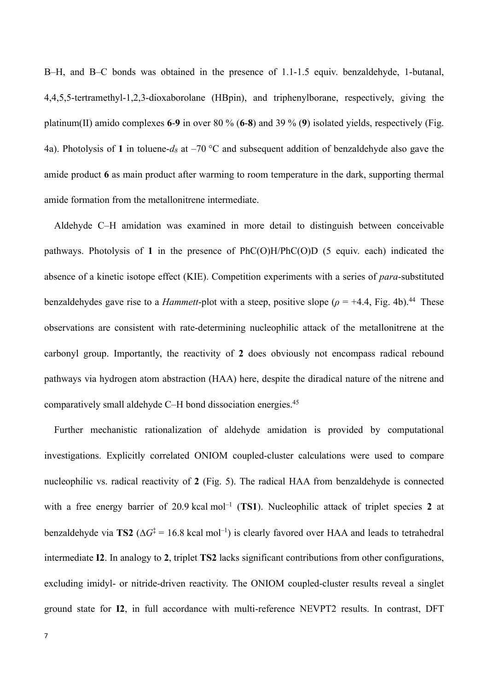B–H, and B–C bonds was obtained in the presence of 1.1-1.5 equiv. benzaldehyde, 1-butanal, 4,4,5,5-tertramethyl-1,2,3-dioxaborolane (HBpin), and triphenylborane, respectively, giving the platinum(II) amido complexes **6**-**9** in over 80 % (**6**-**8**) and 39 % (**9**) isolated yields, respectively (Fig. 4a). Photolysis of **1** in toluene-*d8* at –70 °C and subsequent addition of benzaldehyde also gave the amide product **6** as main product after warming to room temperature in the dark, supporting thermal amide formation from the metallonitrene intermediate.

Aldehyde C–H amidation was examined in more detail to distinguish between conceivable pathways. Photolysis of **1** in the presence of PhC(O)H/PhC(O)D (5 equiv. each) indicated the absence of a kinetic isotope effect (KIE). Competition experiments with a series of *para*-substituted benzaldehydes gave rise to a *Hammett*-plot with a steep, positive slope  $(\rho = +4.4, \text{ Fig. 4b})$ .<sup>44</sup> These observations are consistent with rate-determining nucleophilic attack of the metallonitrene at the carbonyl group. Importantly, the reactivity of **2** does obviously not encompass radical rebound pathways via hydrogen atom abstraction (HAA) here, despite the diradical nature of the nitrene and comparatively small aldehyde C–H bond dissociation energies. 45

Further mechanistic rationalization of aldehyde amidation is provided by computational investigations. Explicitly correlated ONIOM coupled-cluster calculations were used to compare nucleophilic vs. radical reactivity of **2** (Fig. 5). The radical HAA from benzaldehyde is connected with a free energy barrier of 20.9 kcal mol<sup>-1</sup> (**TS1**). Nucleophilic attack of triplet species 2 at benzaldehyde via **TS2** ( $\Delta G^{\ddagger} = 16.8$  kcal mol<sup>-1</sup>) is clearly favored over HAA and leads to tetrahedral intermediate **I2**. In analogy to **2**, triplet **TS2** lacks significant contributions from other configurations, excluding imidyl- or nitride-driven reactivity. The ONIOM coupled-cluster results reveal a singlet ground state for **I2**, in full accordance with multi-reference NEVPT2 results. In contrast, DFT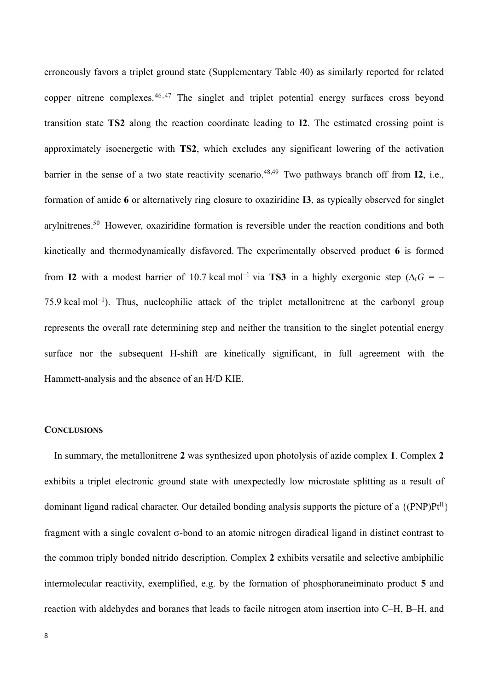erroneously favors a triplet ground state (Supplementary Table 40) as similarly reported for related copper nitrene complexes.<sup>46,47</sup> The singlet and triplet potential energy surfaces cross beyond transition state **TS2** along the reaction coordinate leading to **I2**. The estimated crossing point is approximately isoenergetic with **TS2**, which excludes any significant lowering of the activation barrier in the sense of a two state reactivity scenario. 48,49 Two pathways branch off from **I2**, i.e., formation of amide **6** or alternatively ring closure to oxaziridine **I3**, as typically observed for singlet arylnitrenes. <sup>50</sup> However, oxaziridine formation is reversible under the reaction conditions and both kinetically and thermodynamically disfavored. The experimentally observed product **6** is formed from **I2** with a modest barrier of 10.7 kcal mol<sup>-1</sup> via **TS3** in a highly exergonic step ( $\Delta_{\rm r}$ G = –  $75.9$  kcal mol<sup>-1</sup>). Thus, nucleophilic attack of the triplet metallonitrene at the carbonyl group represents the overall rate determining step and neither the transition to the singlet potential energy surface nor the subsequent H-shift are kinetically significant, in full agreement with the Hammett-analysis and the absence of an H/D KIE.

# **CONCLUSIONS**

In summary, the metallonitrene **2** was synthesized upon photolysis of azide complex **1**. Complex **2** exhibits a triplet electronic ground state with unexpectedly low microstate splitting as a result of dominant ligand radical character. Our detailed bonding analysis supports the picture of a  $\{(\text{PNP})Pt^{II}\}$ fragment with a single covalent  $\sigma$ -bond to an atomic nitrogen diradical ligand in distinct contrast to the common triply bonded nitrido description. Complex **2** exhibits versatile and selective ambiphilic intermolecular reactivity, exemplified, e.g. by the formation of phosphoraneiminato product **5** and reaction with aldehydes and boranes that leads to facile nitrogen atom insertion into C–H, B–H, and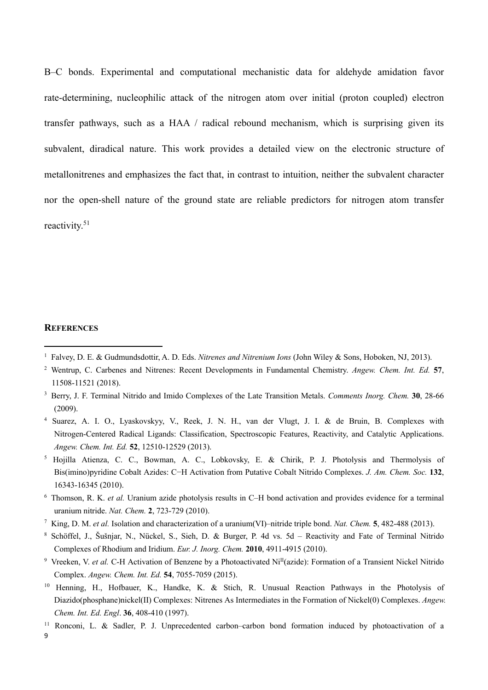B–C bonds. Experimental and computational mechanistic data for aldehyde amidation favor rate-determining, nucleophilic attack of the nitrogen atom over initial (proton coupled) electron transfer pathways, such as a HAA / radical rebound mechanism, which is surprising given its subvalent, diradical nature. This work provides a detailed view on the electronic structure of metallonitrenes and emphasizes the fact that, in contrast to intuition, neither the subvalent character nor the open-shell nature of the ground state are reliable predictors for nitrogen atom transfer reactivity. 51

# **REFERENCES**

- <sup>4</sup> Suarez, A. I. O., Lyaskovskyy, V., Reek, J. N. H., van der Vlugt, J. I. & de Bruin, B. Complexes with Nitrogen-Centered Radical Ligands: Classification, Spectroscopic Features, Reactivity, and Catalytic Applications. *Angew. Chem. Int. Ed.* **52**, 12510-12529 (2013).
- <sup>5</sup> Hojilla Atienza, C. C., Bowman, A. C., Lobkovsky, E. & Chirik, P. J. Photolysis and Thermolysis of Bis(imino)pyridine Cobalt Azides: C−H Activation from Putative Cobalt Nitrido Complexes. *J. Am. Chem. Soc.* **132**, 16343-16345 (2010).
- <sup>6</sup> Thomson, R. K. *et al.* Uranium azide photolysis results in C–H bond activation and provides evidence for a terminal uranium nitride. *Nat. Chem.* **2**, 723-729 (2010).
- <sup>7</sup> King, D. M. *et al.* Isolation and characterization of a uranium(VI)–nitride triple bond. *Nat. Chem.* **5**, 482-488 (2013).
- <sup>8</sup> Schöffel, J., Šušnjar, N., Nückel, S., Sieh, D. & Burger, P. 4d vs. 5d Reactivity and Fate of Terminal Nitrido Complexes of Rhodium and Iridium. *Eur. J. Inorg. Chem.* **2010**, 4911-4915 (2010).
- <sup>9</sup> Vreeken, V. *et al.* C-H Activation of Benzene by a Photoactivated Ni<sup>II</sup>(azide): Formation of a Transient Nickel Nitrido Complex. *Angew. Chem. Int. Ed.* **54**, 7055-7059 (2015).
- <sup>10</sup> Henning, H., Hofbauer, K., Handke, K. & Stich, R. Unusual Reaction Pathways in the Photolysis of Diazido(phosphane)nickel(II) Complexes: Nitrenes As Intermediates in the Formation of Nickel(0) Complexes. *Angew. Chem. Int. Ed. Engl*. **36**, 408-410 (1997).
- <sup>11</sup> Ronconi, L. & Sadler, P. J. Unprecedented carbon–carbon bond formation induced by photoactivation of a

9

<sup>1</sup> Falvey, D. E. & Gudmundsdottir, A. D. Eds. *Nitrenes and Nitrenium Ions* (John Wiley & Sons, Hoboken, NJ, 2013).

<sup>2</sup> Wentrup, C. Carbenes and Nitrenes: Recent Developments in Fundamental Chemistry. *Angew. Chem. Int. Ed.* **57**, 11508-11521 (2018).

<sup>3</sup> Berry, J. F. Terminal Nitrido and Imido Complexes of the Late Transition Metals. *Comments Inorg. Chem.* **30**, 28-66 (2009).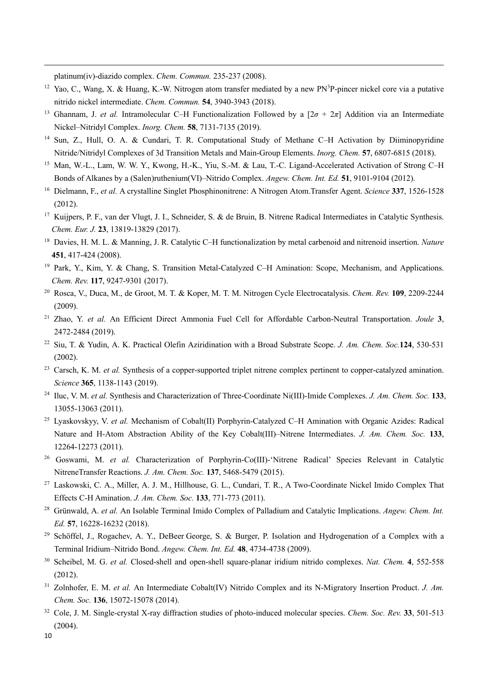platinum(iv)-diazido complex. *Chem. Commun.* 235-237 (2008).

- $12$  Yao, C., Wang, X. & Huang, K.-W. Nitrogen atom transfer mediated by a new PN<sup>3</sup>P-pincer nickel core via a putative nitrido nickel intermediate. *Chem. Commun.* **54**, 3940-3943 (2018).
- <sup>13</sup> Ghannam, J. *et al.* Intramolecular C–H Functionalization Followed by a  $[2\sigma + 2\pi]$  Addition via an Intermediate Nickel–Nitridyl Complex. *Inorg. Chem.* **58**, 7131-7135 (2019).
- <sup>14</sup> Sun, Z., Hull, O. A. & Cundari, T. R. Computational Study of Methane C–H Activation by Diiminopyridine Nitride/Nitridyl Complexes of 3d Transition Metals and Main-Group Elements. *Inorg. Chem.* **57**, 6807-6815 (2018).
- <sup>15</sup> Man, W.-L., Lam, W. W. Y., Kwong, H.-K., Yiu, S.-M. & Lau, T.-C. Ligand-Accelerated Activation of Strong C–H Bonds of Alkanes by a (Salen)ruthenium(VI)–Nitrido Complex. *Angew. Chem. Int. Ed.* **51**, 9101-9104 (2012).
- <sup>16</sup> Dielmann, F., *et al.* A crystalline Singlet Phosphinonitrene: A Nitrogen Atom.Transfer Agent. *Science* **337**, 1526-1528 (2012).
- <sup>17</sup> Kuijpers, P. F., van der Vlugt, J. I., Schneider, S. & de Bruin, B. Nitrene Radical Intermediates in Catalytic Synthesis. *Chem. Eur. J.* **23**, 13819-13829 (2017).
- <sup>18</sup> Davies, H. M. L. & Manning, J. R. Catalytic C–H functionalization by metal carbenoid and nitrenoid insertion. *Nature* **451**, 417-424 (2008).
- <sup>19</sup> Park, Y., Kim, Y. & Chang, S. Transition Metal-Catalyzed C–H Amination: Scope, Mechanism, and Applications. *Chem. Rev.* **117**, 9247-9301 (2017).
- <sup>20</sup> Rosca, V., Duca, M., de Groot, M. T. & Koper, M. T. M. Nitrogen Cycle Electrocatalysis. *Chem. Rev.* **109**, 2209-2244 (2009).
- <sup>21</sup> Zhao, Y. *et al.* An Efficient Direct Ammonia Fuel Cell for Affordable Carbon-Neutral Transportation. *Joule* **3**, 2472-2484 (2019).
- <sup>22</sup> Siu, T. & Yudin, A. K. Practical Olefin Aziridination with a Broad Substrate Scope. *J. Am. Chem. Soc.***124**, 530-531 (2002).
- <sup>23</sup> Carsch, K. M. *et al.* Synthesis of a copper-supported triplet nitrene complex pertinent to copper-catalyzed amination. *Science* **365**, 1138-1143 (2019).
- <sup>24</sup> Iluc, V. M. *et al.* Synthesis and Characterization of Three-Coordinate Ni(III)-Imide Complexes. *J. Am. Chem. Soc.* **133**, 13055-13063 (2011).
- <sup>25</sup> Lyaskovskyy, V. *et al.* Mechanism of Cobalt(II) Porphyrin-Catalyzed C–H Amination with Organic Azides: Radical Nature and H-Atom Abstraction Ability of the Key Cobalt(III)–Nitrene Intermediates. *J. Am. Chem. Soc.* **133**, 12264-12273 (2011).
- <sup>26</sup> Goswami, M. *et al.* Characterization of Porphyrin-Co(III)-'Nitrene Radical' Species Relevant in Catalytic NitreneTransfer Reactions. *J. Am. Chem. Soc.* **137**, 5468-5479 (2015).
- <sup>27</sup> Laskowski, C. A., Miller, A. J. M., Hillhouse, G. L., Cundari, T. R., A Two-Coordinate Nickel Imido Complex That Effects C-H Amination. *J. Am. Chem. Soc.* **133**, 771-773 (2011).
- <sup>28</sup> Grünwald, A. *et al.* An Isolable Terminal Imido Complex of Palladium and Catalytic Implications. *Angew. Chem. Int. Ed.* **57**, 16228-16232 (2018).
- <sup>29</sup> Schöffel, J., Rogachev, A. Y., DeBeer George, S. & Burger, P. Isolation and Hydrogenation of a Complex with a Terminal Iridium–Nitrido Bond. *Angew. Chem. Int. Ed.* **48**, 4734-4738 (2009).
- <sup>30</sup> Scheibel, M. G. *et al.* Closed-shell and open-shell square-planar iridium nitrido complexes. *Nat. Chem.* **4**, 552-558 (2012).
- <sup>31</sup> Zolnhofer, E. M. *et al.* An Intermediate Cobalt(IV) Nitrido Complex and its N-Migratory Insertion Product. *J. Am. Chem. Soc.* **136**, 15072-15078 (2014).
- <sup>32</sup> Cole, J. M. Single-crystal X-ray diffraction studies of photo-induced molecular species. *Chem. Soc. Rev.* **33**, 501-513  $(2004).$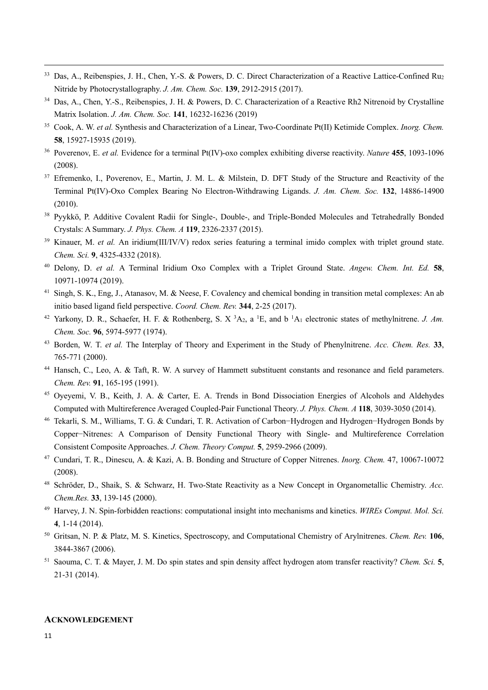- <sup>33</sup> Das, A., Reibenspies, J. H., Chen, Y.-S. & Powers, D. C. Direct Characterization of a Reactive Lattice-Confined Ru2 Nitride by Photocrystallography. *J. Am. Chem. Soc.* **139**, 2912-2915 (2017).
- <sup>34</sup> Das, A., Chen, Y.-S., Reibenspies, J. H. & Powers, D. C. Characterization of a Reactive Rh2 Nitrenoid by Crystalline Matrix Isolation. *J. Am. Chem. Soc.* **141**, 16232-16236 (2019)
- <sup>35</sup> Cook, A. W. *et al.* Synthesis and Characterization of a Linear, Two-Coordinate Pt(II) Ketimide Complex. *Inorg. Chem.*  **58**, 15927-15935 (2019).
- <sup>36</sup> Poverenov, E. *et al.* Evidence for a terminal Pt(IV)-oxo complex exhibiting diverse reactivity. *Nature* **455**, 1093-1096 (2008).
- <sup>37</sup> Efremenko, I., Poverenov, E., Martin, J. M. L. & Milstein, D. DFT Study of the Structure and Reactivity of the Terminal Pt(IV)-Oxo Complex Bearing No Electron-Withdrawing Ligands. *J. Am. Chem. Soc.* **132**, 14886-14900 (2010).
- <sup>38</sup> Pyykkö, P. Additive Covalent Radii for Single-, Double-, and Triple-Bonded Molecules and Tetrahedrally Bonded Crystals: A Summary. *J. Phys. Chem. A* **119**, 2326-2337 (2015).
- <sup>39</sup> Kinauer, M. *et al.* An iridium(III/IV/V) redox series featuring a terminal imido complex with triplet ground state. *Chem. Sci.* **9**, 4325-4332 (2018).
- <sup>40</sup> Delony, D. *et al.* A Terminal Iridium Oxo Complex with a Triplet Ground State. *Angew. Chem. Int. Ed.* **58**, 10971-10974 (2019).
- <sup>41</sup> Singh, S. K., Eng, J., Atanasov, M. & Neese, F. Covalency and chemical bonding in transition metal complexes: An ab initio based ligand field perspective. *Coord. Chem. Rev.* **344**, 2-25 (2017).
- <sup>42</sup> Yarkony, D. R., Schaefer, H. F. & Rothenberg, S. X<sup>3</sup>A<sub>2</sub>, a<sup>1</sup>E, and b<sup>1</sup>A<sub>1</sub> electronic states of methylnitrene. *J. Am. Chem. Soc.* **96**, 5974-5977 (1974).
- <sup>43</sup> Borden, W. T. *et al.* The Interplay of Theory and Experiment in the Study of Phenylnitrene. *Acc. Chem. Res.* **33**, 765-771 (2000).
- <sup>44</sup> Hansch, C., Leo, A. & Taft, R. W. A survey of Hammett substituent constants and resonance and field parameters. *Chem. Rev.* **91**, 165-195 (1991).
- <sup>45</sup> Oyeyemi, V. B., Keith, J. A. & Carter, E. A. Trends in Bond Dissociation Energies of Alcohols and Aldehydes Computed with Multireference Averaged Coupled-Pair Functional Theory. *J. Phys. Chem. A* **118**, 3039-3050 (2014).
- <sup>46</sup> Tekarli, S. M., Williams, T. G. & Cundari, T. R. Activation of Carbon−Hydrogen and Hydrogen−Hydrogen Bonds by Copper−Nitrenes: A Comparison of Density Functional Theory with Single- and Multireference Correlation Consistent Composite Approaches. *J. Chem. Theory Comput.* **5**, 2959-2966 (2009).
- <sup>47</sup> Cundari, T. R., Dinescu, A. & Kazi, A. B. Bonding and Structure of Copper Nitrenes. *Inorg. Chem.* 47, 10067-10072 (2008).
- <sup>48</sup> Schröder, D., Shaik, S. & Schwarz, H. Two-State Reactivity as a New Concept in Organometallic Chemistry. *Acc. Chem.Res.* **33**, 139-145 (2000).
- <sup>49</sup> Harvey, J. N. Spin-forbidden reactions: computational insight into mechanisms and kinetics. *WIREs Comput. Mol. Sci.* **4**, 1-14 (2014).
- <sup>50</sup> Gritsan, N. P. & Platz, M. S. Kinetics, Spectroscopy, and Computational Chemistry of Arylnitrenes. *Chem. Rev.* **106**, 3844-3867 (2006).
- <sup>51</sup> Saouma, C. T. & Mayer, J. M. Do spin states and spin density affect hydrogen atom transfer reactivity? *Chem. Sci.* **5**, 21-31 (2014).

#### **ACKNOWLEDGEMENT**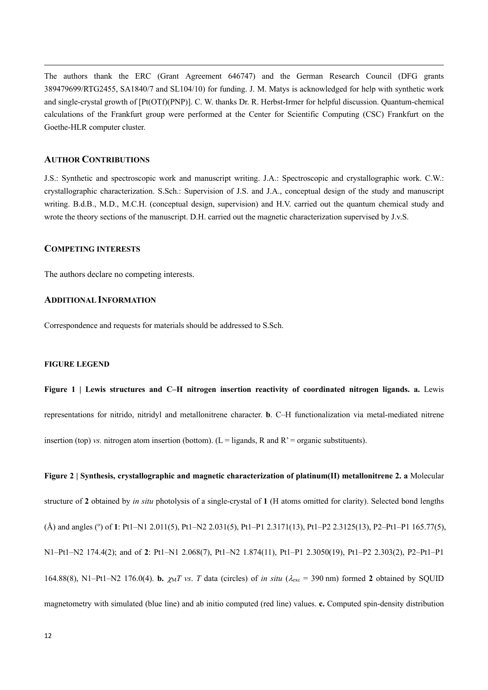The authors thank the ERC (Grant Agreement 646747) and the German Research Council (DFG grants 389479699/RTG2455, SA1840/7 and SL104/10) for funding. J. M. Matys is acknowledged for help with synthetic work and single-crystal growth of [Pt(OTf)(PNP)]. C. W. thanks Dr. R. Herbst-Irmer for helpful discussion. Quantum-chemical calculations of the Frankfurt group were performed at the Center for Scientific Computing (CSC) Frankfurt on the Goethe-HLR computer cluster.

## **AUTHOR CONTRIBUTIONS**

J.S.: Synthetic and spectroscopic work and manuscript writing. J.A.: Spectroscopic and crystallographic work. C.W.: crystallographic characterization. S.Sch.: Supervision of J.S. and J.A., conceptual design of the study and manuscript writing. B.d.B., M.D., M.C.H. (conceptual design, supervision) and H.V. carried out the quantum chemical study and wrote the theory sections of the manuscript. D.H. carried out the magnetic characterization supervised by J.v.S.

### **COMPETING INTERESTS**

The authors declare no competing interests.

#### **ADDITIONAL INFORMATION**

Correspondence and requests for materials should be addressed to S.Sch.

#### **FIGURE LEGEND**

**Figure 1 | Lewis structures and C–H nitrogen insertion reactivity of coordinated nitrogen ligands. a.** Lewis representations for nitrido, nitridyl and metallonitrene character. **b**. C–H functionalization via metal-mediated nitrene insertion (top) *vs.* nitrogen atom insertion (bottom). ( $L =$  ligands, R and  $R' =$  organic substituents).

**Figure 2 | Synthesis, crystallographic and magnetic characterization of platinum(II) metallonitrene 2. a** Molecular structure of **2** obtained by *in situ* photolysis of a single-crystal of **1** (H atoms omitted for clarity). Selected bond lengths (Å) and angles (°) of 1: Pt1–N1 2.011(5), Pt1–N2 2.031(5), Pt1–P1 2.3171(13), Pt1–P2 2.3125(13), P2–Pt1–P1 165.77(5), N1–Pt1–N2 174.4(2); and of **2**: Pt1–N1 2.068(7), Pt1–N2 1.874(11), Pt1–P1 2.3050(19), Pt1–P2 2.303(2), P2–Pt1–P1 164.88(8), N1–Pt1–N2 176.0(4). **b.**  $\gamma_M T$  *vs. T* data (circles) of *in situ* ( $\lambda_{\text{exc}} = 390 \text{ nm}$ ) formed 2 obtained by SQUID magnetometry with simulated (blue line) and ab initio computed (red line) values. **c.** Computed spin-density distribution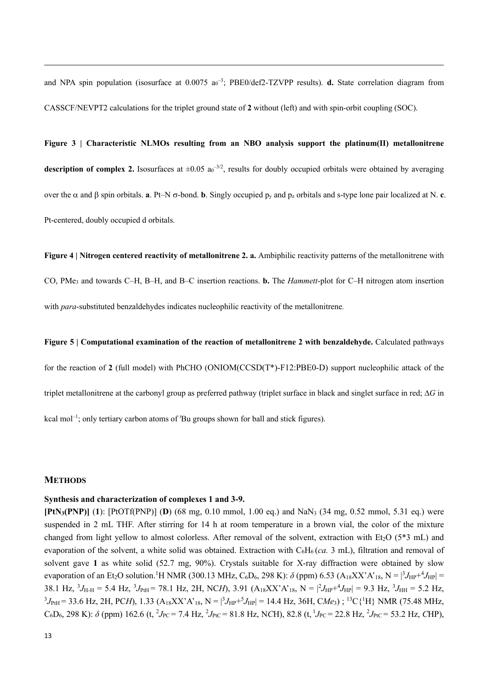and NPA spin population (isosurface at 0.0075 a<sub>0</sub><sup>-3</sup>; PBE0/def2-TZVPP results). **d.** State correlation diagram from CASSCF/NEVPT2 calculations for the triplet ground state of **2** without (left) and with spin-orbit coupling (SOC).

**Figure 3 | Characteristic NLMOs resulting from an NBO analysis support the platinum(II) metallonitrene** description of complex 2. Isosurfaces at  $\pm 0.05$  a<sub>0</sub><sup>-3/2</sup>, results for doubly occupied orbitals were obtained by averaging over the  $\alpha$  and  $\beta$  spin orbitals. **a**. Pt–N  $\sigma$ -bond. **b**. Singly occupied  $p_y$  and  $p_z$  orbitals and s-type lone pair localized at N. **c**. Pt-centered, doubly occupied d orbitals.

**Figure 4 | Nitrogen centered reactivity of metallonitrene 2. a.** Ambiphilic reactivity patterns of the metallonitrene with CO, PMe3 and towards C–H, B–H, and B–C insertion reactions. **b.** The *Hammett*-plot for C–H nitrogen atom insertion with *para*-substituted benzaldehydes indicates nucleophilic reactivity of the metallonitrene*.*

# **Figure 5 | Computational examination of the reaction of metallonitrene 2 with benzaldehyde.** Calculated pathways

for the reaction of **2** (full model) with PhCHO (ONIOM(CCSD(T\*)-F12:PBE0-D) support nucleophilic attack of the triplet metallonitrene at the carbonyl group as preferred pathway (triplet surface in black and singlet surface in red; ∆*G* in kcal mol<sup>-1</sup>; only tertiary carbon atoms of 'Bu groups shown for ball and stick figures).

#### **METHODS**

#### **Synthesis and characterization of complexes 1 and 3-9.**

**[PtN3(PNP)]** (**1**): [PtOTf(PNP)] (**D**) (68 mg, 0.10 mmol, 1.00 eq.) and NaN3 (34 mg, 0.52 mmol, 5.31 eq.) were suspended in 2 mL THF. After stirring for 14 h at room temperature in a brown vial, the color of the mixture changed from light yellow to almost colorless. After removal of the solvent, extraction with Et<sub>2</sub>O ( $5*3$  mL) and evaporation of the solvent, a white solid was obtained. Extraction with  $C_6H_6$  (*ca.* 3 mL), filtration and removal of solvent gave **1** as white solid (52.7 mg, 90%). Crystals suitable for X-ray diffraction were obtained by slow evaporation of an Et<sub>2</sub>O solution.<sup>1</sup>H NMR (300.13 MHz, C<sub>6</sub>D<sub>6</sub>, 298 K):  $\delta$  (ppm) 6.53 (A<sub>18</sub>XX'A'<sub>18</sub>, N =  $\frac{3J_{HP}+4J_{HP}}{3}$  = 38.1 Hz,  ${}^{3}J_{\text{H-H}} = 5.4$  Hz,  ${}^{3}J_{\text{PtH}} = 78.1$  Hz, 2H, NC*H*), 3.91 (A<sub>18</sub>XX'A'<sub>18</sub>, N =  $|{}^{2}J_{\text{HP}} + {}^{4}J_{\text{HP}}| = 9.3$  Hz,  ${}^{3}J_{\text{HH}} = 5.2$  Hz,  ${}^{3}J_{\text{PtH}}$  = 33.6 Hz, 2H, PC*H*), 1.33 (A<sub>18</sub>XX'A'<sub>18</sub>, N =  $|{}^{3}J_{\text{HP}}+{}^{5}J_{\text{HP}}|$  = 14.4 Hz, 36H, C*Me*<sub>3</sub>); <sup>13</sup>C{<sup>1</sup>H} NMR (75.48 MHz,  $C_6D_6$ , 298 K):  $\delta$  (ppm) 162.6 (t, <sup>2</sup>J<sub>PC</sub> = 7.4 Hz, <sup>2</sup>J<sub>PtC</sub> = 81.8 Hz, NCH), 82.8 (t, <sup>1</sup>J<sub>PC</sub> = 22.8 Hz, <sup>2</sup>J<sub>PtC</sub> = 53.2 Hz, CHP),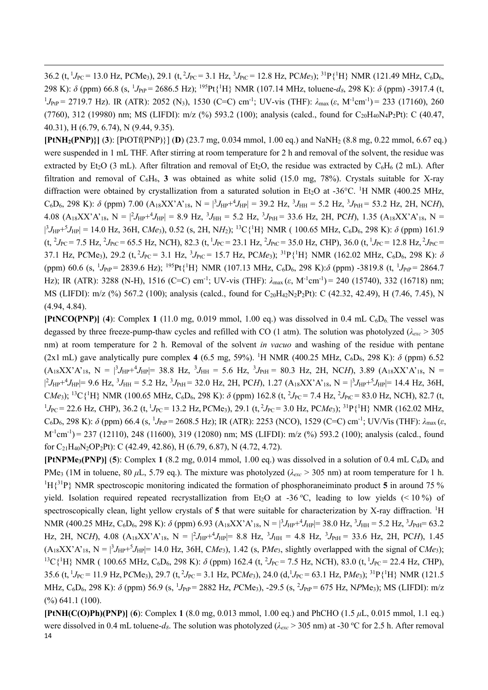36.2 (t, <sup>1</sup>J<sub>PC</sub> = 13.0 Hz, PCMe<sub>3</sub>), 29.1 (t, <sup>2</sup>J<sub>PC</sub> = 3.1 Hz, <sup>3</sup>J<sub>PtC</sub> = 12.8 Hz, PC*Me*<sub>3</sub>); <sup>31</sup>P{<sup>1</sup>H} NMR (121.49 MHz, C<sub>6</sub>D<sub>6</sub>, 298 K):  $\delta$  (ppm) 66.8 (s, <sup>1</sup>J<sub>PtP</sub> = 2686.5 Hz); <sup>195</sup>Pt{<sup>1</sup>H} NMR (107.14 MHz, toluene- $d_8$ , 298 K):  $\delta$  (ppm) -3917.4 (t, <sup>1</sup>J<sub>PtP</sub> = 2719.7 Hz). IR (ATR): 2052 (N<sub>3</sub>), 1530 (C=C) cm<sup>-1</sup>; UV-vis (THF):  $\lambda_{\text{max}}(\varepsilon, M^{-1}cm^{-1})$  = 233 (17160), 260 (7760), 312 (19980) nm; MS (LIFDI): m/z (%) 593.2 (100); analysis (calcd., found for  $C_{20}H_{40}N_4P_2Pt$ ): C (40.47, 40.31), H (6.79, 6.74), N (9.44, 9.35).

**[PtNH2(PNP)}]** (**3**): [PtOTf(PNP)}] (**D**) (23.7 mg, 0.034 mmol, 1.00 eq.) and NaNH2 (8.8 mg, 0.22 mmol, 6.67 eq.) were suspended in 1 mL THF. After stirring at room temperature for 2 h and removal of the solvent, the residue was extracted by Et<sub>2</sub>O (3 mL). After filtration and removal of Et<sub>2</sub>O, the residue was extracted by C<sub>6</sub>H<sub>6</sub> (2 mL). After filtration and removal of  $C_6H_6$ , **3** was obtained as white solid (15.0 mg, 78%). Crystals suitable for X-ray diffraction were obtained by crystallization from a saturated solution in Et<sub>2</sub>O at -36°C. <sup>1</sup>H NMR (400.25 MHz,  $C_6D_6$ , 298 K):  $\delta$  (ppm) 7.00 ( $A_{18}XX'A'_{18}$ ,  $N = \frac{3}{4}J_{HP} + \frac{4}{4}J_{HP} = 39.2$  Hz,  $\frac{3}{4}J_{HH} = 5.2$  Hz,  $\frac{3}{4}J_{PH} = 53.2$  Hz, 2H, NC*H*),  $4.08$   $(A_{18}XX'A'_{18}$ ,  $N = |^2J_{HP}+^4J_{HP}| = 8.9$  Hz,  $^3J_{HH} = 5.2$  Hz,  $^3J_{PH} = 33.6$  Hz, 2H, PCH), 1.35  $(A_{18}XX'A'_{18}$ ,  $N =$ |  ${}^{3}J_{HP}+{}^{5}J_{HP}$ | = 14.0 Hz, 36H, C*Me*<sub>3</sub>), 0.52 (s, 2H, N*H*<sub>2</sub>); <sup>13</sup>C{<sup>1</sup>H} NMR ( 100.65 MHz, C<sub>6</sub>D<sub>6</sub>, 298 K):  $\delta$  (ppm) 161.9  $(t, {}^{2}J_{PC} = 7.5 \text{ Hz}, {}^{2}J_{PC} = 65.5 \text{ Hz}, \text{NCH}$ ), 82.3  $(t, {}^{1}J_{PC} = 23.1 \text{ Hz}, {}^{2}J_{PC} = 35.0 \text{ Hz}, \text{CHP}$ ), 36.0  $(t, {}^{1}J_{PC} = 12.8 \text{ Hz}, {}^{2}J_{PC} = 12.8 \text{ Hz}, {}^{2}J_{PC} = 12.8 \text{ Hz}$ 37.1 Hz, PCMe<sub>3</sub>), 29.2 (t,<sup>2</sup>J<sub>PC</sub> = 3.1 Hz, <sup>3</sup>J<sub>PtC</sub> = 15.7 Hz, PCMe<sub>3</sub>); <sup>31</sup>P{<sup>1</sup>H} NMR (162.02 MHz, C<sub>6</sub>D<sub>6</sub>, 298 K): δ (ppm) 60.6 (s, <sup>1</sup>J<sub>PtP</sub> = 2839.6 Hz); <sup>195</sup>Pt{<sup>1</sup>H} NMR (107.13 MHz, C<sub>6</sub>D<sub>6</sub>, 298 K): $\delta$  (ppm) -3819.8 (t, <sup>1</sup>J<sub>PtP</sub> = 2864.7 Hz); IR (ATR): 3288 (N-H), 1516 (C=C) cm<sup>-1</sup>; UV-vis (THF):  $\lambda_{\text{max}}(\varepsilon, M^{-1}cm^{-1}) = 240$  (15740), 332 (16718) nm; MS (LIFDI): m/z (%) 567.2 (100); analysis (calcd., found for C<sub>20</sub>H<sub>42</sub>N<sub>2</sub>P<sub>2</sub>Pt): C (42.32, 42.49), H (7.46, 7.45), N (4.94, 4.84).

**[PtNCO(PNP)]** (4): Complex 1 (11.0 mg, 0.019 mmol, 1.00 eq.) was dissolved in 0.4 mL  $C_6D_6$ . The vessel was degassed by three freeze-pump-thaw cycles and refilled with CO (1 atm). The solution was photolyzed (*λexc* > 305 nm) at room temperature for 2 h. Removal of the solvent *in vacuo* and washing of the residue with pentane (2x1 mL) gave analytically pure complex  $4$  (6.5 mg, 59%). <sup>1</sup>H NMR (400.25 MHz, C<sub>6</sub>D<sub>6</sub>, 298 K):  $\delta$  (ppm) 6.52  $(A_{18}XX^{\prime}A^{\prime}_{18}, N = |^{3}J_{HP}+^{4}J_{HP}|= 38.8$  Hz,  $^{3}J_{HH} = 5.6$  Hz,  $^{3}J_{PH} = 80.3$  Hz, 2H, NC*H*), 3.89  $(A_{18}XX^{\prime}A^{\prime}_{18}, N =$ |  $^2J_{HP}$ + $^4J_{HP}$ |= 9.6 Hz,  $^3J_{HH}$  = 5.2 Hz,  $^3J_{PH}$  = 32.0 Hz, 2H, PCH), 1.27 (A<sub>18</sub>XX'A'<sub>18</sub>, N =  $|^3J_{HP}$ + $^5J_{HP}$ |= 14.4 Hz, 36H,  $CMe_3$ ); <sup>13</sup>C{<sup>1</sup>H} NMR (100.65 MHz, C<sub>6</sub>D<sub>6</sub>, 298 K):  $\delta$  (ppm) 162.8 (t, <sup>2</sup>J<sub>PC</sub> = 7.4 Hz, <sup>2</sup>J<sub>PtC</sub> = 83.0 Hz, NCH), 82.7 (t,  $^{1}J_{\text{PC}}$  = 22.6 Hz, *C*HP), 36.2 (t, <sup>1</sup> $J_{\text{PC}}$  = 13.2 Hz, P*C*Me<sub>3</sub>), 29.1 (t, <sup>2</sup> $J_{\text{PC}}$  = 3.0 Hz, P*CMe<sub>3</sub>*); <sup>31</sup>P{<sup>1</sup>H} NMR (162.02 MHz,  $C_6D_6$ , 298 K): δ (ppm) 66.4 (s, <sup>1</sup>J<sub>PtP</sub> = 2608.5 Hz); IR (ATR): 2253 (NCO), 1529 (C=C) cm<sup>-1</sup>; UV/Vis (THF):  $λ_{max}$  ( $\varepsilon$ ,  $M^{-1}$ cm<sup>-1</sup>) = 237 (12110), 248 (11600), 319 (12080) nm; MS (LIFDI): m/z (%) 593.2 (100); analysis (calcd., found for C21H40N2OP2Pt): C (42.49, 42.86), H (6.79, 6.87), N (4.72, 4.72).

**[PtNPMe<sub>3</sub>(PNP)] (5):** Complex 1 (8.2 mg, 0.014 mmol, 1.00 eq.) was dissolved in a solution of 0.4 mL  $C_6D_6$  and PMe3 (1M in toluene, 80 *μ*L, 5.79 eq.). The mixture was photolyzed (*λexc* > 305 nm) at room temperature for 1 h.  ${}^{1}H\{{}^{31}P\}$  NMR spectroscopic monitoring indicated the formation of phosphoraneiminato product 5 in around 75 % yield. Isolation required repeated recrystallization from Et<sub>2</sub>O at -36 °C, leading to low yields (< 10 %) of spectroscopically clean, light yellow crystals of 5 that were suitable for characterization by X-ray diffraction. <sup>1</sup>H NMR (400.25 MHz, C<sub>6</sub>D<sub>6</sub>, 298 K): δ (ppm) 6.93 (A<sub>18</sub>XX'A'<sub>18</sub>, N = |<sup>3</sup>J<sub>HP</sub>+<sup>4</sup>J<sub>HP</sub>|= 38.0 Hz, <sup>3</sup>J<sub>HH</sub> = 5.2 Hz, <sup>3</sup>J<sub>PtH</sub>= 63.2 Hz, 2H, NCH), 4.08  $(A_{18}XX'A'_{18}$ ,  $N = |^2J_{HP}+^4J_{HP}|= 8.8$  Hz,  $^3J_{HH} = 4.8$  Hz,  $^3J_{PH} = 33.6$  Hz, 2H, PCH), 1.45  $(A_{18}XX^{\prime}A^{\prime}_{18}, N = |^{3}J_{HP} + ^{5}J_{HP}| = 14.0$  Hz, 36H, C*Me*<sub>3</sub>), 1.42 (s, P*Me*<sub>3</sub>, slightly overlapped with the signal of C*Me*<sub>3</sub>); <sup>13</sup>C{<sup>1</sup>H} NMR (100.65 MHz, C<sub>6</sub>D<sub>6</sub>, 298 K): δ (ppm) 162.4 (t, <sup>2</sup>J<sub>PC</sub> = 7.5 Hz, NCH), 83.0 (t, <sup>1</sup>J<sub>PC</sub> = 22.4 Hz, CHP), 35.6 (t, <sup>1</sup>J<sub>PC</sub> = 11.9 Hz, PCMe<sub>3</sub>), 29.7 (t, <sup>2</sup>J<sub>PC</sub> = 3.1 Hz, PC*Me*<sub>3</sub>), 24.0 (d, <sup>1</sup>J<sub>PC</sub> = 63.1 Hz, P*Me*<sub>3</sub>); <sup>31</sup>P{<sup>1</sup>H} NMR (121.5 MHz, C<sub>6</sub>D<sub>6</sub>, 298 K): δ (ppm) 56.9 (s, <sup>1</sup>J<sub>PtP</sub> = 2882 Hz, *P*CMe<sub>3</sub>), -29.5 (s, <sup>2</sup>J<sub>PtP</sub> = 675 Hz, N*PMe*<sub>3</sub>); MS (LIFDI): m/z (%) 641.1 (100).

14 **[PtNH(C(O)Ph)(PNP)]** (**6**): Complex **1** (8.0 mg, 0.013 mmol, 1.00 eq.) and PhCHO (1.5 *μ*L, 0.015 mmol, 1.1 eq.) were dissolved in 0.4 mL toluene-*d*<sub>8</sub>. The solution was photolyzed ( $λ_{exc}$  > 305 nm) at -30 °C for 2.5 h. After removal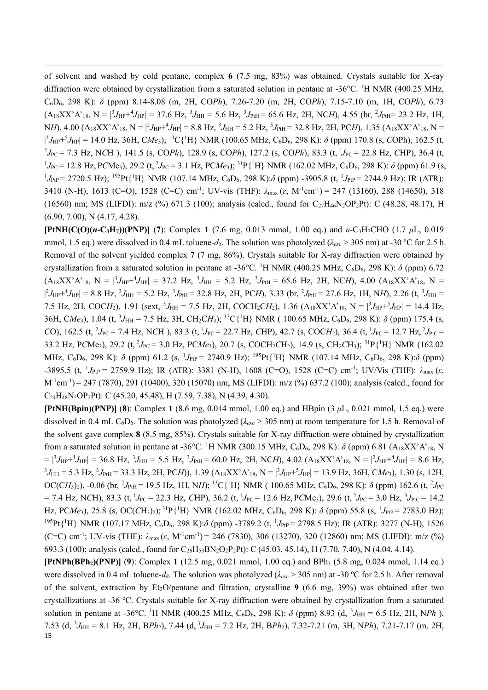of solvent and washed by cold pentane, complex **6** (7.5 mg, 83%) was obtained. Crystals suitable for X-ray diffraction were obtained by crystallization from a saturated solution in pentane at -36°C. <sup>1</sup>H NMR (400.25 MHz, C6D6, 298 K): *δ* (ppm) 8.14-8.08 (m, 2H, CO*Ph*), 7.26-7.20 (m, 2H, CO*Ph*), 7.15-7.10 (m, 1H, CO*Ph*), 6.73  $(A_{18}XX^{\prime}A^{\prime}_{18}, N = |^{3}J_{HP}+^{4}J_{HP}| = 37.6$  Hz,  $^{3}J_{HH} = 5.6$  Hz,  $^{3}J_{PH} = 65.6$  Hz, 2H, NC*H*), 4.55 (br,  $^{2}J_{PH} = 23.2$  Hz, 1H,  $N_H$ , 4.00  $(A_{18}XX^{\prime}A^{\prime}{}_{18}$ ,  $N = |^{2}J_{HP} + {}^{4}J_{HP}| = 8.8$  Hz,  ${}^{3}J_{HH} = 5.2$  Hz,  ${}^{3}J_{PH} = 32.8$  Hz, 2H, PC*H*), 1.35  $(A_{18}XX^{\prime}A^{\prime}{}_{18}$ ,  $N =$ |  ${}^{3}J_{HP}+{}^{5}J_{HP}$  = 14.0 Hz, 36H, C*Me*<sub>3</sub>); <sup>13</sup>C{<sup>1</sup>H} NMR (100.65 MHz, C<sub>6</sub>D<sub>6</sub>, 298 K):  $\delta$  (ppm) 170.8 (s, COPh), 162.5 (t, 2 *J*PC = 7.3 Hz, N*C*H ), 141.5 (s, CO*Ph*), 128.9 (s, CO*Ph*), 127.2 (s, CO*Ph*), 83.3 (t, <sup>1</sup> *J*PC = 22.8 Hz, *C*HP), 36.4 (t, <sup>1</sup> $J_{\text{PC}}$  = 12.8 Hz, PCMe<sub>3</sub>), 29.2 (t,<sup>2</sup> $J_{\text{PC}}$  = 3.1 Hz, PC*Me<sub>3</sub>*); <sup>31</sup>P{<sup>1</sup>H} NMR (162.02 MHz, C<sub>6</sub>D<sub>6</sub>, 298 K): δ (ppm) 61.9 (s, <sup>1</sup>J<sub>PtP</sub> = 2720.5 Hz); <sup>195</sup>Pt{<sup>1</sup>H} NMR (107.14 MHz, C<sub>6</sub>D<sub>6</sub>, 298 K):δ (ppm) -3905.8 (t, <sup>1</sup>J<sub>PtP</sub> = 2744.9 Hz); IR (ATR): 3410 (N-H), 1613 (C=O), 1528 (C=C) cm-1 ; UV-vis (THF): *λ*max (*ε*, M-1 cm-1 ) = 247 (13160), 288 (14650), 318 (16560) nm; MS (LIFDI): m/z (%) 671.3 (100); analysis (calcd., found for  $C_2$ 7H<sub>46</sub>N<sub>2</sub>OP<sub>2</sub>Pt): C (48.28, 48.17), H (6.90, 7.00), N (4.17, 4.28).

**[PtNH(C(O)(***n***-C3H7))(PNP)]** (**7**): Complex **1** (7.6 mg, 0.013 mmol, 1.00 eq.) and *n*-C3H7CHO (1.7 *μ*L, 0.019 mmol, 1.5 eq.) were dissolved in 0.4 mL toluene- $d_8$ . The solution was photolyzed ( $\lambda_{exc}$  > 305 nm) at -30 °C for 2.5 h. Removal of the solvent yielded complex **7** (7 mg, 86%). Crystals suitable for X-ray diffraction were obtained by crystallization from a saturated solution in pentane at -36°C. <sup>1</sup>H NMR (400.25 MHz, C<sub>6</sub>D<sub>6</sub>, 298 K):  $\delta$  (ppm) 6.72  $(A_{18}XX^{\prime}A^{\prime}{}_{18}, N = |^{3}J_{HP}+^{4}J_{HP}| = 37.2 \text{ Hz}, \frac{3J_{HH}}{5.2 \text{ Hz}}, \frac{3J_{PH}}{5.6 \text{ Hz}}, 2H, NCH, 4.00 \text{ } (A_{18}XX^{\prime}A^{\prime}{}_{18}, N = 1.2 \text{ Hz})$ |  $^{2}J_{HP}+^{4}J_{HP}$  = 8.8 Hz,  $^{3}J_{HH}$  = 5.2 Hz,  $^{3}J_{PH}$  = 32.8 Hz, 2H, PC*H*), 3.33 (br,  $^{2}J_{PH}$  = 27.6 Hz, 1H, N*H*), 2.26 (t,  $^{3}J_{HH}$  = 7.5 Hz, 2H, COCH<sub>2</sub>), 1.91 (sext, <sup>3</sup> $J_{HH}$  = 7.5 Hz, 2H, COCH<sub>2</sub>CH<sub>2</sub>), 1.36 (A<sub>18</sub>XX'A'<sub>18</sub>, N =  $|{}^{3}J_{HP}+{}^{5}J_{HP}|$  = 14.4 Hz, 36H, C*Me*<sub>3</sub>), 1.04 (t, <sup>3</sup>J<sub>HH</sub> = 7.5 Hz, 3H, CH<sub>2</sub>CH<sub>3</sub>); <sup>13</sup>C{<sup>1</sup>H} NMR ( 100.65 MHz, C<sub>6</sub>D<sub>6</sub>, 298 K):  $\delta$  (ppm) 175.4 (s, *C*O), 162.5 (t, <sup>2</sup> $J_{PC}$  = 7.4 Hz, N*C*H), 83.3 (t, <sup>1</sup> $J_{PC}$  = 22.7 Hz, *C*HP), 42.7 (s, *COCH*<sub>2</sub>), 36.4 (t, <sup>1</sup> $J_{PC}$  = 12.7 Hz, <sup>2</sup> $J_{PC}$  = 33.2 Hz, P*C*Me3), 29.2 (t, <sup>2</sup> *J*PC = 3.0 Hz, PC*Me*3), 20.7 (s, COCH2*C*H2), 14.9 (s, CH2*C*H3); 31P{1 H} NMR (162.02 MHz, C<sub>6</sub>D<sub>6</sub>, 298 K): *δ* (ppm) 61.2 (s, <sup>1</sup>J<sub>PtP</sub> = 2740.9 Hz); <sup>195</sup>Pt{<sup>1</sup>H} NMR (107.14 MHz, C<sub>6</sub>D<sub>6</sub>, 298 K):*δ* (ppm) -3895.5 (t, <sup>1</sup>J<sub>PtP</sub> = 2759.9 Hz); IR (ATR): 3381 (N-H), 1608 (C=O), 1528 (C=C) cm<sup>-1</sup>; UV/Vis (THF): λ<sub>max</sub> (ε,  $M^{-1}$ cm<sup>-1</sup>) = 247 (7870), 291 (10400), 320 (15070) nm; MS (LIFDI): m/z (%) 637.2 (100); analysis (calcd., found for C24H48N2OP2Pt): C (45.20, 45.48), H (7.59, 7.38), N (4.39, 4.30).

**[PtNH(Bpin)(PNP)]** (**8**): Complex **1** (8.6 mg, 0.014 mmol, 1.00 eq.) and HBpin (3 *μ*L, 0.021 mmol, 1.5 eq.) were dissolved in 0.4 mL C<sub>6</sub>D<sub>6</sub>. The solution was photolyzed ( $λ_{exc}$  > 305 nm) at room temperature for 1.5 h. Removal of the solvent gave complex **8** (8.5 mg, 85%). Crystals suitable for X-ray diffraction were obtained by crystallization from a saturated solution in pentane at -36°C. <sup>1</sup>H NMR (300.15 MHz, C<sub>6</sub>D<sub>6</sub>, 298 K):  $\delta$  (ppm) 6.81 (A<sub>18</sub>XX'A'<sub>18</sub>, N  $=$   $|^{3}J_{HP}+^{4}J_{HP}| = 36.8$  Hz,  $^{3}J_{HH} = 5.5$  Hz,  $^{3}J_{PH} = 60.0$  Hz, 2H, NC*H*), 4.02 (A<sub>18</sub>XX'A'<sub>18</sub>, N =  $|^{2}J_{HP}+^{4}J_{HP}| = 8.6$  Hz,  ${}^{3}J_{\text{HH}} = 5.3 \text{ Hz}, {}^{3}J_{\text{PH}} = 33.3 \text{ Hz}, 2H, PCH$ )), 1.39 (A<sub>18</sub>XX'A'<sub>18</sub>, N =  $|{}^{3}J_{\text{HP}} + {}^{5}J_{\text{HP}}| = 13.9 \text{ Hz}, 36H, CMe_3$ ), 1.30 (s, 12H,  $OC(CH_3)_2$ ), -0.06 (br, <sup>2</sup> $J_{\text{PtH}}$  = 19.5 Hz, 1H, NH); <sup>13</sup>C{<sup>1</sup>H} NMR ( 100.65 MHz, C<sub>6</sub>D<sub>6</sub>, 298 K):  $\delta$  (ppm) 162.6 (t, <sup>2</sup> $J_{\text{PC}}$  $= 7.4$  Hz, NCH), 83.3 (t, <sup>1</sup>J<sub>PC</sub> = 22.3 Hz, CHP), 36.2 (t, <sup>1</sup>J<sub>PC</sub> = 12.6 Hz, PCMe<sub>3</sub>), 29.6 (t, <sup>2</sup>J<sub>PC</sub> = 3.0 Hz, <sup>3</sup>J<sub>PtC</sub> = 14.2 Hz, PC*Me*<sub>3</sub>), 25.8 (s, OC(CH<sub>3</sub>)<sub>2</sub>);<sup>31</sup>P{<sup>1</sup>H} NMR (162.02 MHz, C<sub>6</sub>D<sub>6</sub>, 298 K): *δ* (ppm) 55.8 (s, <sup>1</sup>J<sub>PtP</sub> = 2783.0 Hz); <sup>195</sup>Pt{<sup>1</sup>H} NMR (107.17 MHz, C<sub>6</sub>D<sub>6</sub>, 298 K):δ (ppm) -3789.2 (t, <sup>1</sup>J<sub>PtP</sub> = 2798.5 Hz); IR (ATR): 3277 (N-H), 1526 (C=C) cm<sup>-1</sup>; UV-vis (THF):  $\lambda_{\text{max}}(\varepsilon, M^{-1}cm^{-1})$  = 246 (7830), 306 (13270), 320 (12860) nm; MS (LIFDI): m/z (%) 693.3 (100); analysis (calcd., found for C<sub>26</sub>H<sub>53</sub>BN<sub>2</sub>O<sub>2</sub>P<sub>2</sub>Pt): C (45.03, 45.14), H (7.70, 7.40), N (4.04, 4.14).

15 **[PtNPh(BPh2)(PNP)]** (**9**): Complex **1** (12.5 mg, 0.021 mmol, 1.00 eq.) and BPh3 (5.8 mg, 0.024 mmol, 1.14 eq.) were dissolved in 0.4 mL toluene-*d*<sub>8</sub>. The solution was photolyzed ( $λ_{exc}$  > 305 nm) at -30 °C for 2.5 h. After removal of the solvent, extraction by Et2O/pentane and filtration, crystalline **9** (6.6 mg, 39%) was obtained after two crystallizations at -36 °C. Crystals suitable for X-ray diffraction were obtained by crystallization from a saturated solution in pentane at -36°C. <sup>1</sup>H NMR (400.25 MHz, C<sub>6</sub>D<sub>6</sub>, 298 K):  $\delta$  (ppm) 8.93 (d, <sup>3</sup>J<sub>HH</sub> = 6.5 Hz, 2H, NPh), 7.53 (d,  ${}^{3}J_{\text{HH}} = 8.1$  Hz, 2H, BPh<sub>2</sub>), 7.44 (d,  ${}^{3}J_{\text{HH}} = 7.2$  Hz, 2H, BPh<sub>2</sub>), 7.32-7.21 (m, 3H, NPh), 7.21-7.17 (m, 2H,